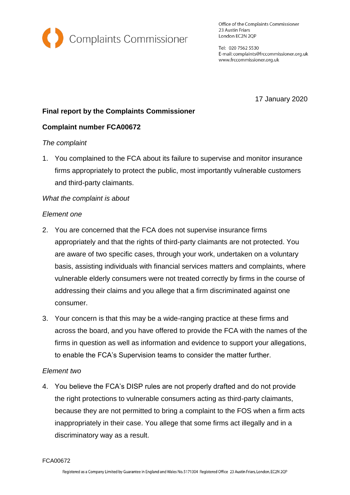

Office of the Complaints Commissioner 23 Austin Friars London EC2N 2QP

Tel: 020 7562 5530 E-mail: complaints@frccommissioner.org.uk www.frccommissioner.org.uk

17 January 2020

# **Final report by the Complaints Commissioner**

# **Complaint number FCA00672**

### *The complaint*

1. You complained to the FCA about its failure to supervise and monitor insurance firms appropriately to protect the public, most importantly vulnerable customers and third-party claimants.

## *What the complaint is about*

### *Element one*

- 2. You are concerned that the FCA does not supervise insurance firms appropriately and that the rights of third-party claimants are not protected. You are aware of two specific cases, through your work, undertaken on a voluntary basis, assisting individuals with financial services matters and complaints, where vulnerable elderly consumers were not treated correctly by firms in the course of addressing their claims and you allege that a firm discriminated against one consumer.
- 3. Your concern is that this may be a wide-ranging practice at these firms and across the board, and you have offered to provide the FCA with the names of the firms in question as well as information and evidence to support your allegations, to enable the FCA's Supervision teams to consider the matter further.

### *Element two*

4. You believe the FCA's DISP rules are not properly drafted and do not provide the right protections to vulnerable consumers acting as third-party claimants, because they are not permitted to bring a complaint to the FOS when a firm acts inappropriately in their case. You allege that some firms act illegally and in a discriminatory way as a result.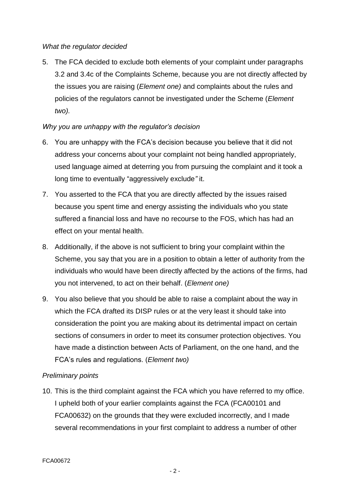## *What the regulator decided*

5. The FCA decided to exclude both elements of your complaint under paragraphs 3.2 and 3.4c of the Complaints Scheme, because you are not directly affected by the issues you are raising (*Element one)* and complaints about the rules and policies of the regulators cannot be investigated under the Scheme (*Element two).*

# *Why you are unhappy with the regulator's decision*

- 6. You are unhappy with the FCA's decision because you believe that it did not address your concerns about your complaint not being handled appropriately, used language aimed at deterring you from pursuing the complaint and it took a long time to eventually "aggressively exclude*"* it.
- 7. You asserted to the FCA that you are directly affected by the issues raised because you spent time and energy assisting the individuals who you state suffered a financial loss and have no recourse to the FOS, which has had an effect on your mental health.
- 8. Additionally, if the above is not sufficient to bring your complaint within the Scheme, you say that you are in a position to obtain a letter of authority from the individuals who would have been directly affected by the actions of the firms, had you not intervened, to act on their behalf. (*Element one)*
- 9. You also believe that you should be able to raise a complaint about the way in which the FCA drafted its DISP rules or at the very least it should take into consideration the point you are making about its detrimental impact on certain sections of consumers in order to meet its consumer protection objectives. You have made a distinction between Acts of Parliament, on the one hand, and the FCA's rules and regulations. (*Element two)*

# *Preliminary points*

10. This is the third complaint against the FCA which you have referred to my office. I upheld both of your earlier complaints against the FCA (FCA00101 and FCA00632) on the grounds that they were excluded incorrectly, and I made several recommendations in your first complaint to address a number of other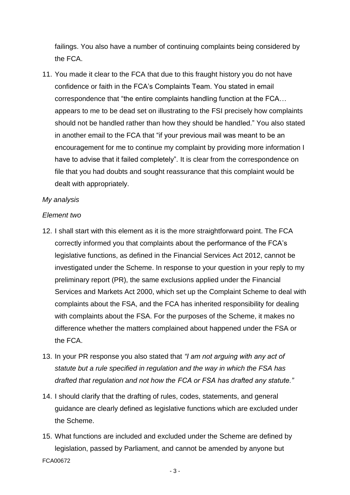failings. You also have a number of continuing complaints being considered by the FCA.

11. You made it clear to the FCA that due to this fraught history you do not have confidence or faith in the FCA's Complaints Team. You stated in email correspondence that "the entire complaints handling function at the FCA… appears to me to be dead set on illustrating to the FSI precisely how complaints should not be handled rather than how they should be handled." You also stated in another email to the FCA that "if your previous mail was meant to be an encouragement for me to continue my complaint by providing more information I have to advise that it failed completely". It is clear from the correspondence on file that you had doubts and sought reassurance that this complaint would be dealt with appropriately.

#### *My analysis*

#### *Element two*

- 12. I shall start with this element as it is the more straightforward point. The FCA correctly informed you that complaints about the performance of the FCA's legislative functions, as defined in the Financial Services Act 2012, cannot be investigated under the Scheme. In response to your question in your reply to my preliminary report (PR), the same exclusions applied under the Financial Services and Markets Act 2000, which set up the Complaint Scheme to deal with complaints about the FSA, and the FCA has inherited responsibility for dealing with complaints about the FSA. For the purposes of the Scheme, it makes no difference whether the matters complained about happened under the FSA or the FCA.
- 13. In your PR response you also stated that *"I am not arguing with any act of statute but a rule specified in regulation and the way in which the FSA has drafted that regulation and not how the FCA or FSA has drafted any statute."*
- 14. I should clarify that the drafting of rules, codes, statements, and general guidance are clearly defined as legislative functions which are excluded under the Scheme.
- FCA00672 15. What functions are included and excluded under the Scheme are defined by legislation, passed by Parliament, and cannot be amended by anyone but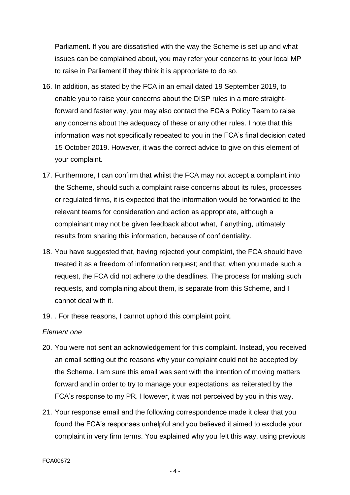Parliament. If you are dissatisfied with the way the Scheme is set up and what issues can be complained about, you may refer your concerns to your local MP to raise in Parliament if they think it is appropriate to do so.

- 16. In addition, as stated by the FCA in an email dated 19 September 2019, to enable you to raise your concerns about the DISP rules in a more straightforward and faster way, you may also contact the FCA's Policy Team to raise any concerns about the adequacy of these or any other rules. I note that this information was not specifically repeated to you in the FCA's final decision dated 15 October 2019. However, it was the correct advice to give on this element of your complaint.
- 17. Furthermore, I can confirm that whilst the FCA may not accept a complaint into the Scheme, should such a complaint raise concerns about its rules, processes or regulated firms, it is expected that the information would be forwarded to the relevant teams for consideration and action as appropriate, although a complainant may not be given feedback about what, if anything, ultimately results from sharing this information, because of confidentiality.
- 18. You have suggested that, having rejected your complaint, the FCA should have treated it as a freedom of information request; and that, when you made such a request, the FCA did not adhere to the deadlines. The process for making such requests, and complaining about them, is separate from this Scheme, and I cannot deal with it.
- 19. . For these reasons, I cannot uphold this complaint point.

### *Element one*

- 20. You were not sent an acknowledgement for this complaint. Instead, you received an email setting out the reasons why your complaint could not be accepted by the Scheme. I am sure this email was sent with the intention of moving matters forward and in order to try to manage your expectations, as reiterated by the FCA's response to my PR. However, it was not perceived by you in this way.
- 21. Your response email and the following correspondence made it clear that you found the FCA's responses unhelpful and you believed it aimed to exclude your complaint in very firm terms. You explained why you felt this way, using previous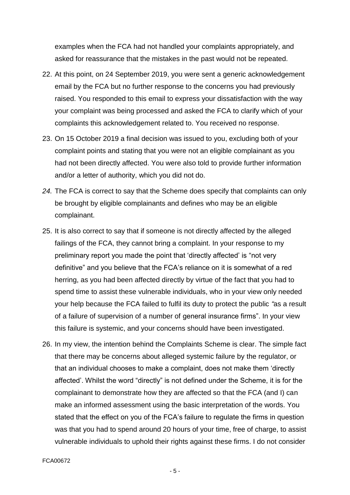examples when the FCA had not handled your complaints appropriately, and asked for reassurance that the mistakes in the past would not be repeated.

- 22. At this point, on 24 September 2019, you were sent a generic acknowledgement email by the FCA but no further response to the concerns you had previously raised. You responded to this email to express your dissatisfaction with the way your complaint was being processed and asked the FCA to clarify which of your complaints this acknowledgement related to. You received no response.
- 23. On 15 October 2019 a final decision was issued to you, excluding both of your complaint points and stating that you were not an eligible complainant as you had not been directly affected. You were also told to provide further information and/or a letter of authority, which you did not do.
- *24.* The FCA is correct to say that the Scheme does specify that complaints can only be brought by eligible complainants and defines who may be an eligible complainant.
- 25. It is also correct to say that if someone is not directly affected by the alleged failings of the FCA, they cannot bring a complaint. In your response to my preliminary report you made the point that 'directly affected' is "not very definitive" and you believe that the FCA's reliance on it is somewhat of a red herring, as you had been affected directly by virtue of the fact that you had to spend time to assist these vulnerable individuals, who in your view only needed your help because the FCA failed to fulfil its duty to protect the public *"*as a result of a failure of supervision of a number of general insurance firms". In your view this failure is systemic, and your concerns should have been investigated.
- 26. In my view, the intention behind the Complaints Scheme is clear. The simple fact that there may be concerns about alleged systemic failure by the regulator, or that an individual chooses to make a complaint, does not make them 'directly affected'. Whilst the word "directly" is not defined under the Scheme, it is for the complainant to demonstrate how they are affected so that the FCA (and I) can make an informed assessment using the basic interpretation of the words. You stated that the effect on you of the FCA's failure to regulate the firms in question was that you had to spend around 20 hours of your time, free of charge, to assist vulnerable individuals to uphold their rights against these firms. I do not consider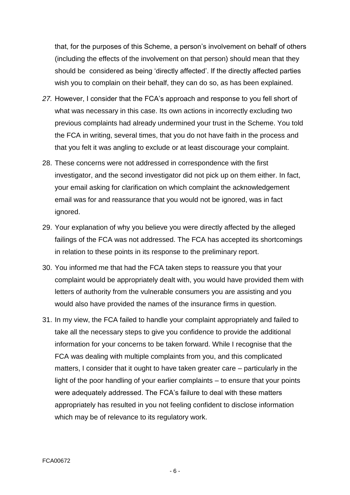that, for the purposes of this Scheme, a person's involvement on behalf of others (including the effects of the involvement on that person) should mean that they should be considered as being 'directly affected'. If the directly affected parties wish you to complain on their behalf, they can do so, as has been explained.

- *27.* However, I consider that the FCA's approach and response to you fell short of what was necessary in this case. Its own actions in incorrectly excluding two previous complaints had already undermined your trust in the Scheme. You told the FCA in writing, several times, that you do not have faith in the process and that you felt it was angling to exclude or at least discourage your complaint.
- 28. These concerns were not addressed in correspondence with the first investigator, and the second investigator did not pick up on them either. In fact, your email asking for clarification on which complaint the acknowledgement email was for and reassurance that you would not be ignored, was in fact ignored.
- 29. Your explanation of why you believe you were directly affected by the alleged failings of the FCA was not addressed. The FCA has accepted its shortcomings in relation to these points in its response to the preliminary report.
- 30. You informed me that had the FCA taken steps to reassure you that your complaint would be appropriately dealt with, you would have provided them with letters of authority from the vulnerable consumers you are assisting and you would also have provided the names of the insurance firms in question.
- 31. In my view, the FCA failed to handle your complaint appropriately and failed to take all the necessary steps to give you confidence to provide the additional information for your concerns to be taken forward. While I recognise that the FCA was dealing with multiple complaints from you, and this complicated matters, I consider that it ought to have taken greater care – particularly in the light of the poor handling of your earlier complaints – to ensure that your points were adequately addressed. The FCA's failure to deal with these matters appropriately has resulted in you not feeling confident to disclose information which may be of relevance to its regulatory work.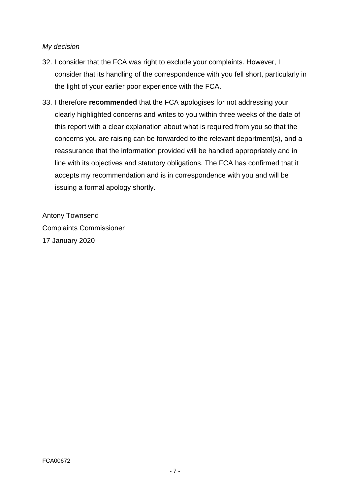## *My decision*

- 32. I consider that the FCA was right to exclude your complaints. However, I consider that its handling of the correspondence with you fell short, particularly in the light of your earlier poor experience with the FCA.
- 33. I therefore **recommended** that the FCA apologises for not addressing your clearly highlighted concerns and writes to you within three weeks of the date of this report with a clear explanation about what is required from you so that the concerns you are raising can be forwarded to the relevant department(s), and a reassurance that the information provided will be handled appropriately and in line with its objectives and statutory obligations. The FCA has confirmed that it accepts my recommendation and is in correspondence with you and will be issuing a formal apology shortly.

Antony Townsend Complaints Commissioner 17 January 2020